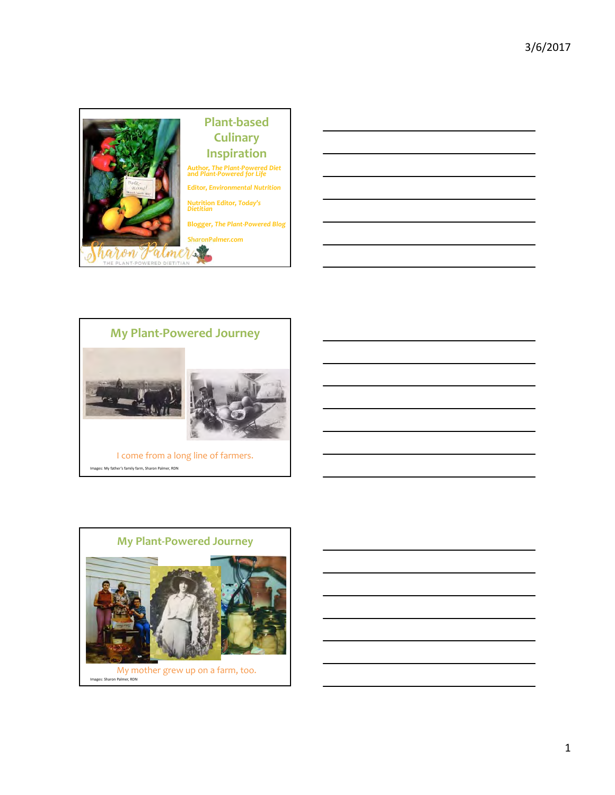





Images: My father's family farm, Sharon Palmer, RDN

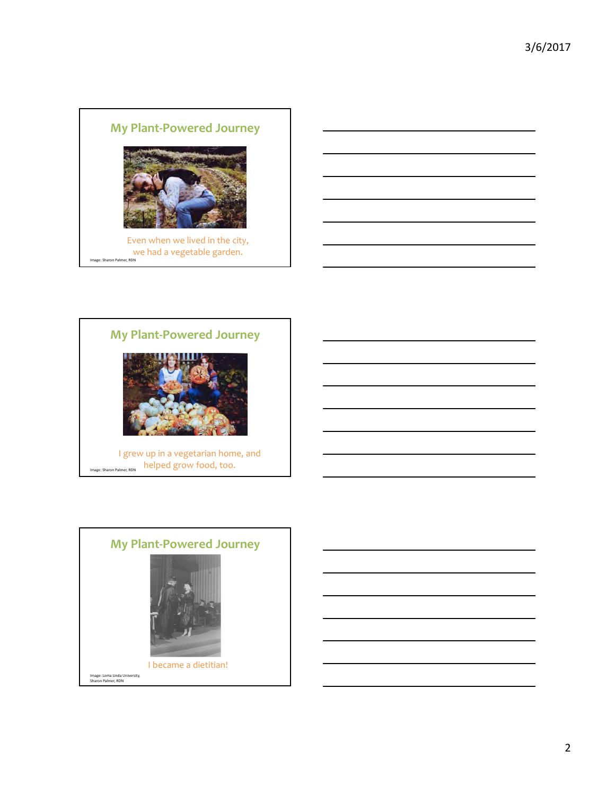



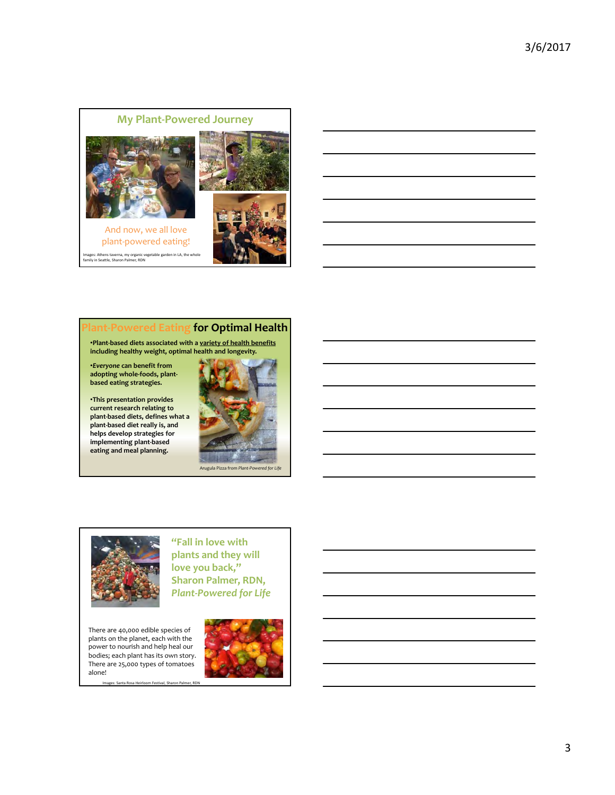

# **for Optimal Health**

•**Plant‐based diets associated with a variety of health benefits including healthy weight, optimal health and longevity.**

•*Everyone* **can benefit from adopting whole‐foods, plant‐ based eating strategies.**

•**This presentation provides current research relating to plant‐based diets, defines what a plant‐based diet really is, and helps develop strategies for implementing plant‐based eating and meal planning.**



### Arugula Pizza from *Plant‐Powered for Life*



**"Fall in love with plants and they will love you back," Sharon Palmer, RDN,** *Plant‐Powered for Life*

There are 40,000 edible species of plants on the planet, each with the power to nourish and help heal our bodies; each plant has its own story. There are 25,000 types of tomatoes alone!

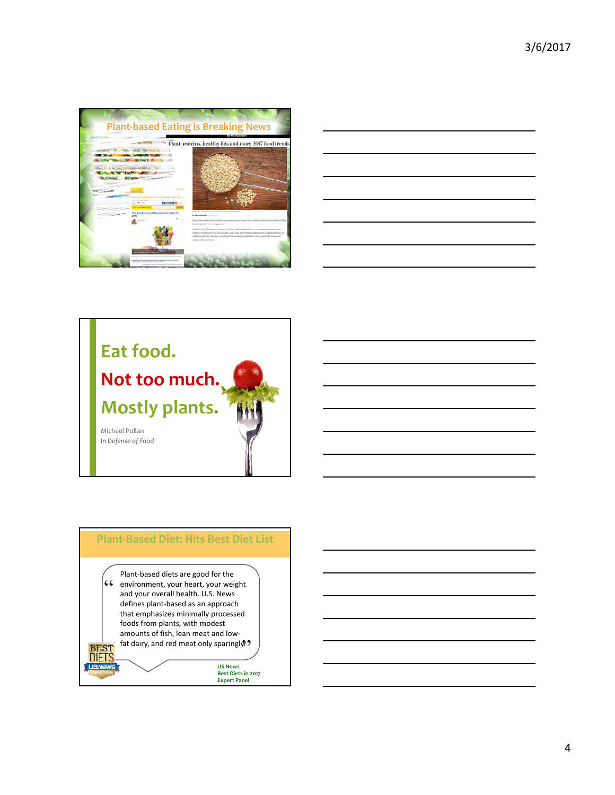

| the contract of the contract of the contract of the contract of the contract of |  | __ |
|---------------------------------------------------------------------------------|--|----|
|                                                                                 |  |    |
|                                                                                 |  |    |
|                                                                                 |  |    |
|                                                                                 |  |    |



### **Plant‐Based Diet: Hits Best Diet List**

**46** environment, your heart, your weight<br>and your overall health. U.S. News **A** fat dairy, and red meat only sparingly<br>L Plant‐based diets are good for the and your overall health. U.S. News defines plant‐based as an approach that emphasizes minimally processed foods from plants, with modest amounts of fish, lean meat and low‐

DIET

**US News Best Diets in 2017 Expert Panel**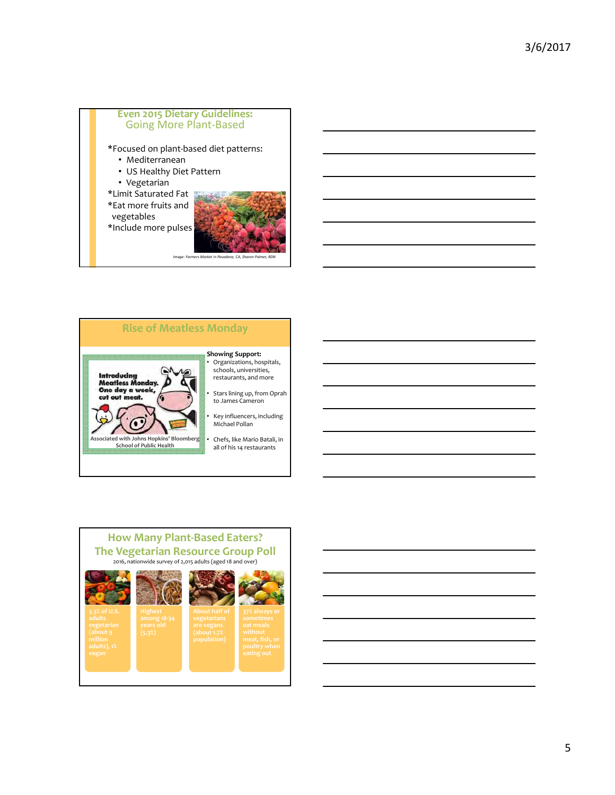



### **How Many Plant‐Based Eaters? The Vegetarian Resource Group Poll** 2016, nationwide survey of 2,015 adults (aged 18 and over)





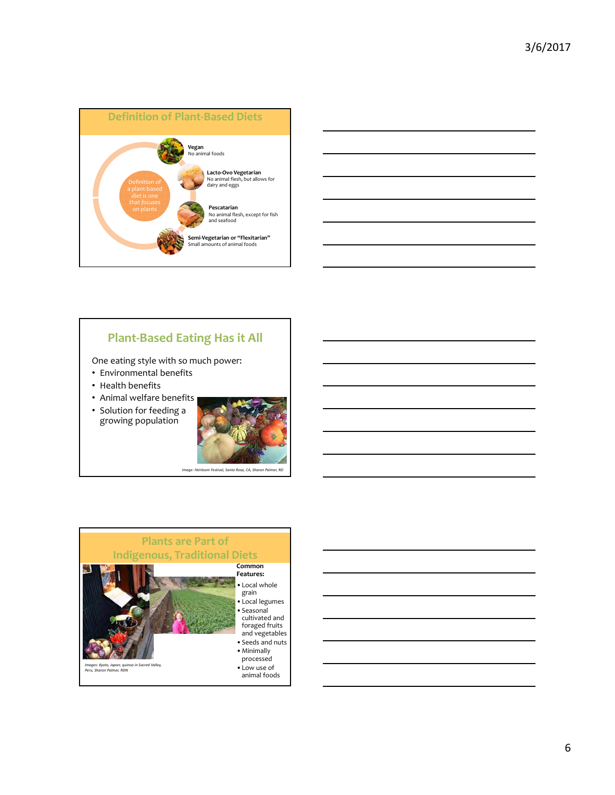



# **Plant‐Based Eating Has it All**

One eating style with so much power:

- Environmental benefits
- Health benefits
- Animal welfare benefits
- Solution for feeding a growing population





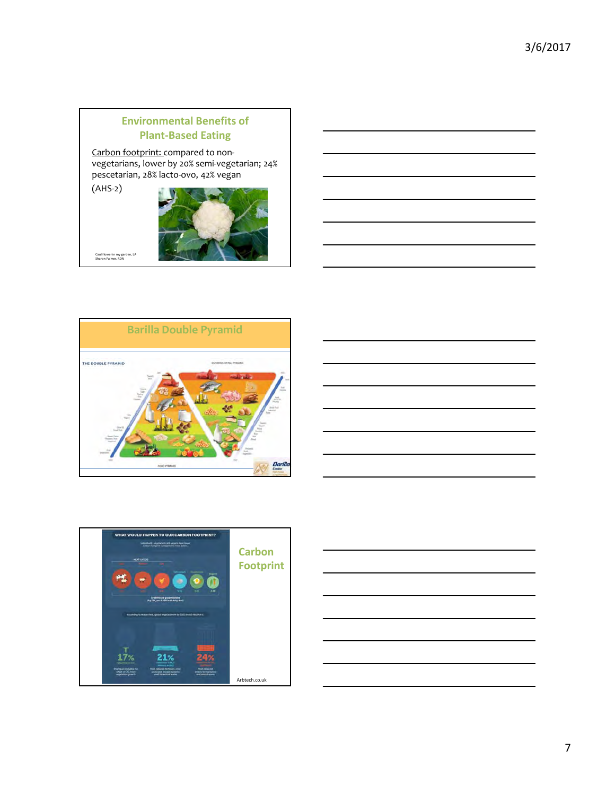# **Environmental Benefits of Plant‐Based Eating**

Carbon footprint: compared to nonvegetarians, lower by 20% semi‐vegetarian; 24% pescetarian, 28% lacto‐ovo, 42% vegan

(AHS‐2)



Cauliflower in my garden, LA Sharon Palmer, RDN





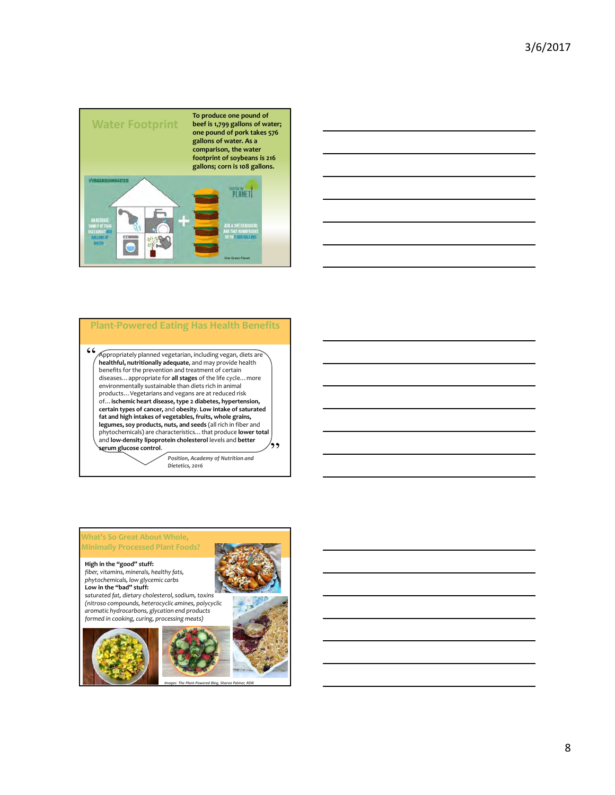



### Appropriately planned vegetarian, including vegan, diets are **healthful, nutritionally adequate**, and may provide health benefits for the prevention and treatment of certain diseases…appropriate for **all stages** of the life cycle…more environmentally sustainable than diets rich in animal products…Vegetarians and vegans are at reduced risk of... ischemic heart disease, type 2 diabetes, hypertension,<br>certain types of cancer, and obesity. Low intake of saturated **fat and high intakes of vegetables, fruits, whole grains, legumes, soy products, nuts, and seeds** (all rich in fiber and phytochemicals) are characteristics…that produce **lower total** and **low‐density lipoprotein cholesterol** levels and **better serum glucose control**. *Position, Academy of Nutrition and Dietetics, 2016* "  $\ddot{ }$ **Plant‐Powered Eating Has Health Benefits**



*Images: The Plant‐Powered Blog, Sharon Palmer, RDN*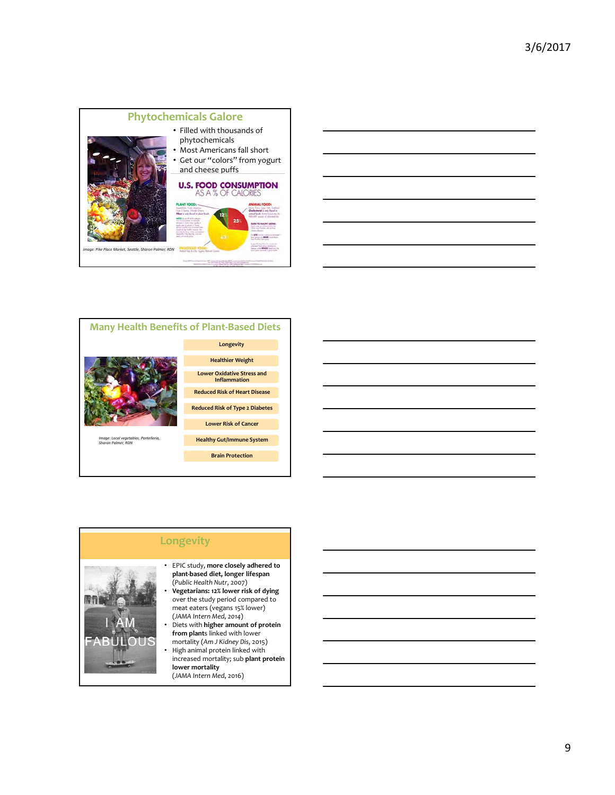





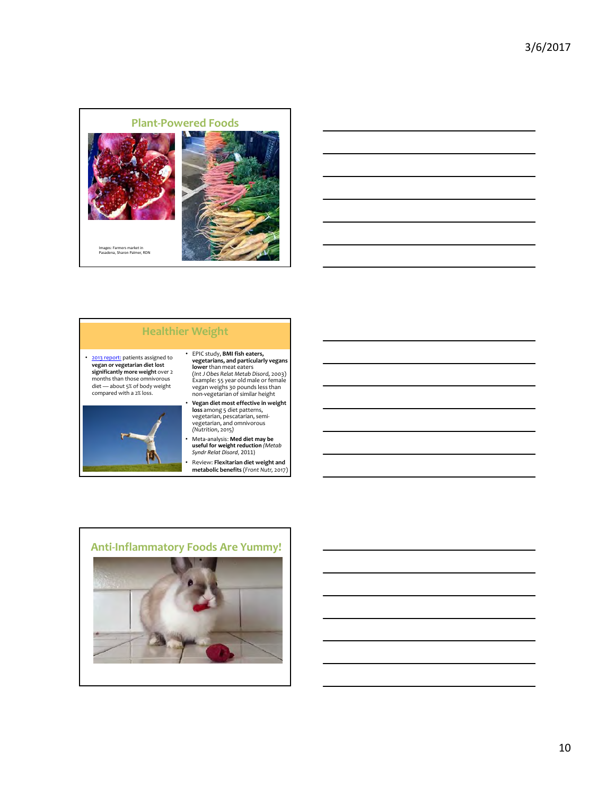



# **Healthier Weight**

• 2013 report: patients assigned to **vegan or vegetarian diet lost significantly more weight** over 2 months than those omnivorous diet — about 5% of body weight compared with a 2% loss.



# • EPIC study, **BMI fish eaters, vegetarians, and particularly vegans lower** than meat eaters (*Int J Obes Relat Metab Disord,* 2003) Example: 55 year old male or female vegan weighs 30 pounds less than non‐vegetarian of similar height

• **Vegan diet most effective in weight loss** among 5 diet patterns, vegetarian, pescatarian, semi‐ vegetarian, and omnivorous *(Nutrition*, 2015*)*

• Meta‐analysis: **Med diet may be useful for weight reduction** *(Metab Syndr Relat Disord*, 2011)

• Review: **Flexitarian diet weight and metabolic benefits** (*Front Nutr,* 2017)

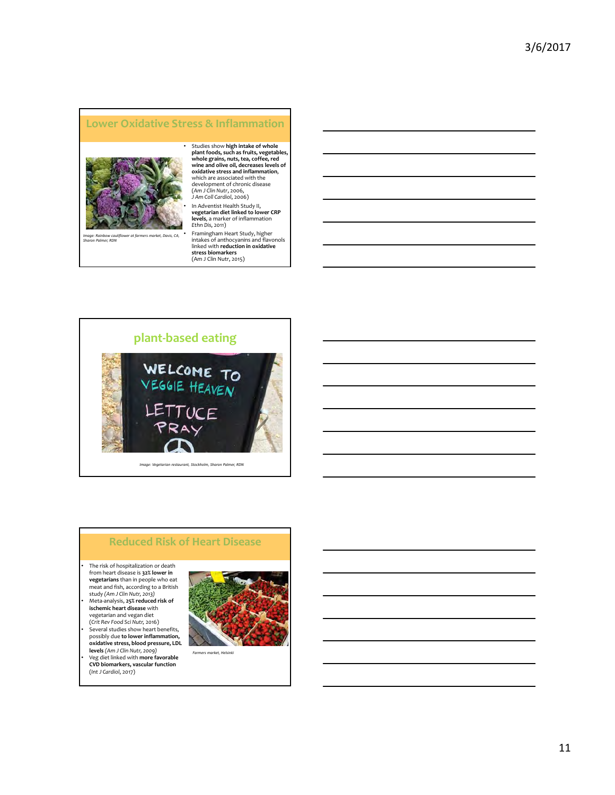### **Lower Oxidative Stress & Inflammation**



Studies show high intake of whole<br>plant foods, such as fruits, vegetables,<br>whole grains, nuts, tea, coffee, red<br>wine and olive oil, decreases levels of<br>oxidative stress and inflammation,<br>which are associated with the development of chronic disease (*Am J Clin Nutr*, 2006, *J Am Coll Cardiol*, 2006)

*Image: Rainbow cauliflower at farmers market, Davis, CA, Sharon Palmer, RDN*

• Framingham Heart Study, higher intakes of anthocyanins and flavonols linked with **reduction in oxidative stress biomarkers** (Am J Clin Nutr, 2015)

**levels**, a marker of inflammation

*Ethn Dis*, 2011)



### **Reduced Risk of Heart Disease**

• The risk of hospitalization or death from heart disease is **32% lower in vegetarians** than in people who eat meat and fish, according to a British study *(Am J Clin Nutr, 2013)* • Meta‐analysis, **25% reduced risk of ischemic heart disease** with vegetarian and vegan diet

(*Crit Rev Food Sci Nutr,* 2016) • Several studies show heart benefits, possibly due **to lower inflammation, oxidative stress, blood pressure, LDL levels** *(Am J Clin Nutr, 2009)* • Veg diet linked with **more favorable CVD biomarkers, vascular function**

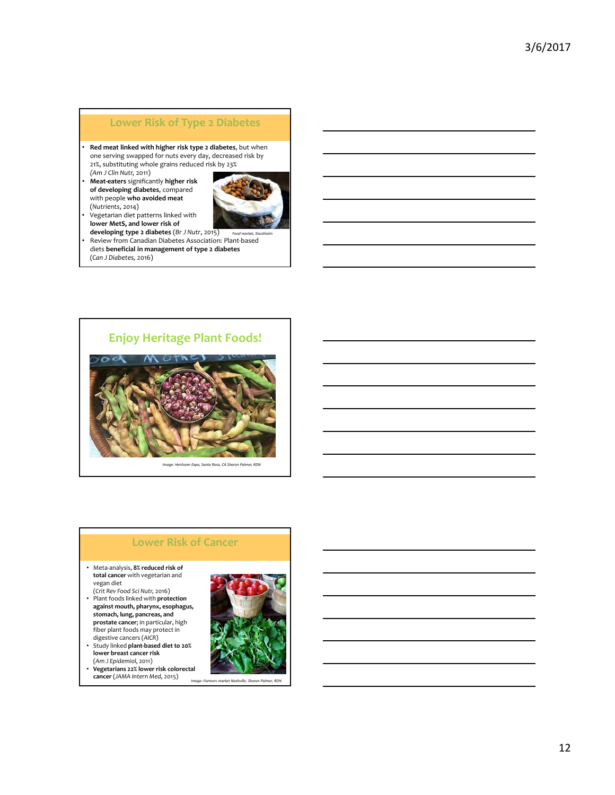### **Lower Risk of Type 2 Diabetes**

• **Red meat linked with higher risk type 2 diabetes**, but when one serving swapped for nuts every day, decreased risk by 21%, substituting whole grains reduced risk by 23% *(Am J Clin Nutr,* 2011)

• **Meat‐eaters** significantly **higher risk of developing diabetes**, compared with people **who avoided meat** (*Nutrients*, 2014)



- Vegetarian diet patterns linked with **lower MetS, and lower risk of**
- **developing type 2 diabetes** (*Br J Nutr*, 2015) • Review from Canadian Diabetes Association: Plant‐based *Food market, Stockholm* diets **beneficial in management of type 2 diabetes** (*Can J Diabetes,* 2016)



*Image: Heirloom Expo, Santa Rosa, CA Sharon Palmer, RDN*

### **Lower Risk of Cancer**

- Meta‐analysis, **8% reduced risk of total cancer** with vegetarian and vegan diet (*Crit Rev Food Sci Nutr,* 2016)
- Plant foods linked with **protection against mouth, pharynx, esophagus, stomach, lung, pancreas, and prostate cancer**; in particular, high fiber plant foods may protect in
- digestive cancers (*AICR*) • Study linked **plant‐based diet to 20% lower breast cancer risk**
- (*Am J Epidemiol*, 2011) • **Vegetarians 22% lower risk colorectal cancer** (*JAMA Intern Med*, 2015)

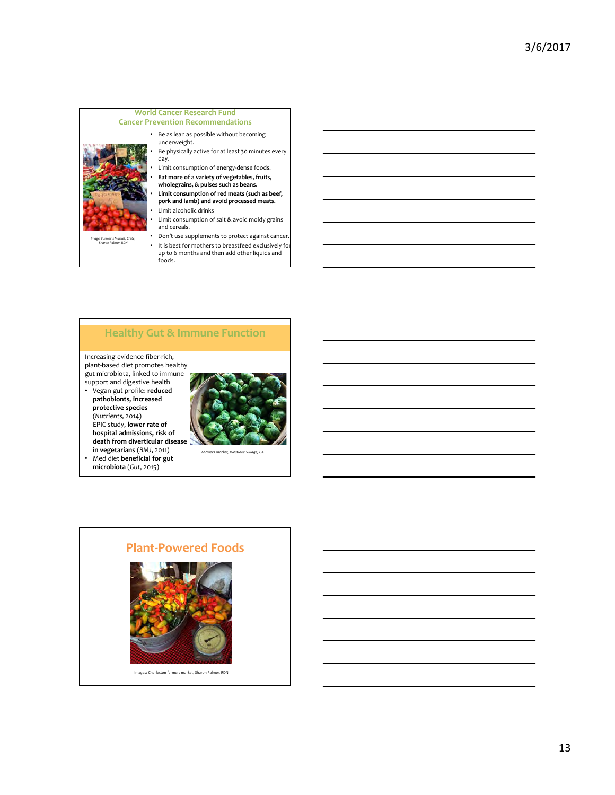

### **Healthy Gut & Immune Function**

Increasing evidence fiber‐rich, plant‐based diet promotes healthy gut microbiota, linked to immune support and digestive health

• Vegan gut profile: **reduced pathobionts, increased protective species** (*Nutrients,* 2014) EPIC study, **lower rate of hospital admissions, risk of death from diverticular disease**



**in vegetarians** (*BMJ*, 2011) • Med diet **beneficial for gut microbiota** (*Gut*, 2015)



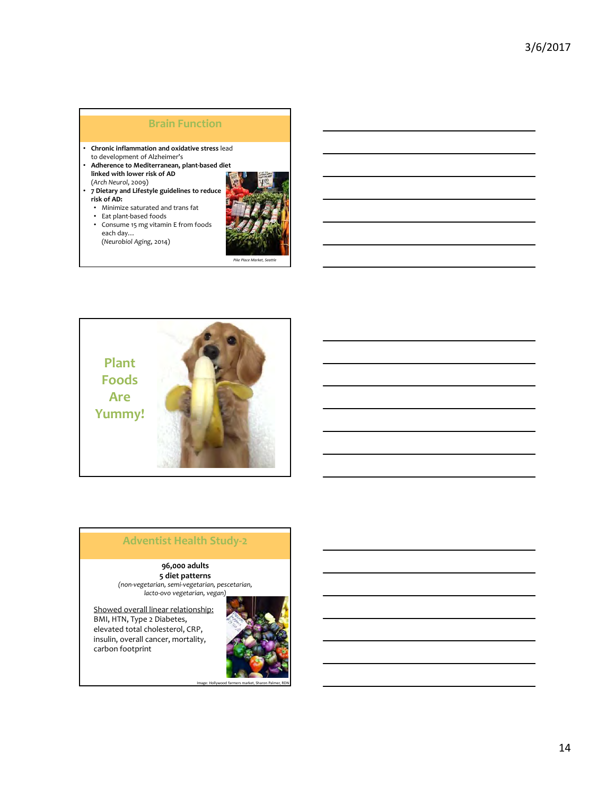# **Brain Function**

- **Chronic inflammation and oxidative stress** lead to development of Alzheimer's
- **Adherence to Mediterranean, plant‐based diet linked with lower risk of AD** (*Arch Neurol*, 2009)
- **7 Dietary and Lifestyle guidelines to reduce risk of AD:**
	- Minimize saturated and trans fat
- Eat plant‐based foods
- Consume 15 mg vitamin E from foods each day…
- (*Neurobiol Aging*, 2014)



*Pike Place Market, Seattle* 



# **Adventist Health Study‐2**

**96,000 adults 5 diet patterns** *(non‐vegetarian, semi‐vegetarian, pescetarian, lacto‐ovo vegetarian, vegan)*

Showed overall linear relationship: BMI, HTN, Type 2 Diabetes, elevated total cholesterol, CRP, insulin, overall cancer, mortality, carbon footprint

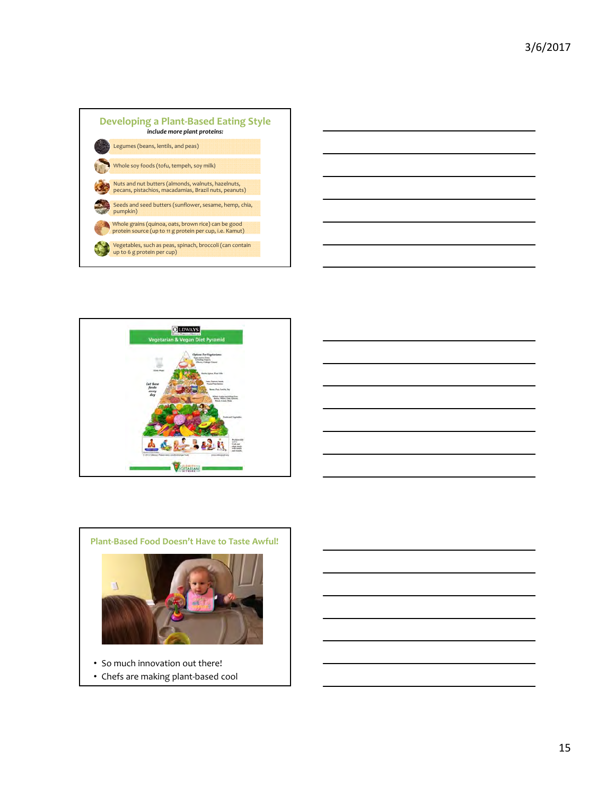









- So much innovation out there!
- Chefs are making plant‐based cool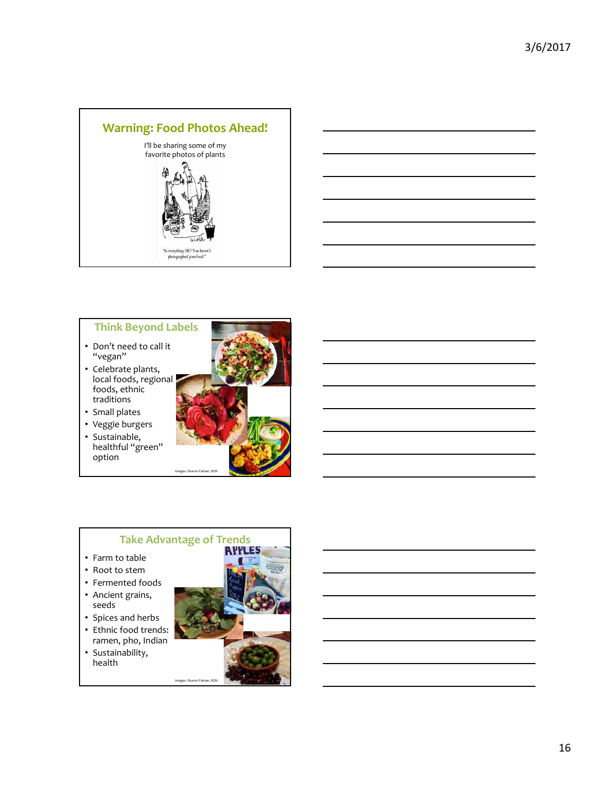

## **Think Beyond Labels**

- Don't need to call it "vegan"
- Celebrate plants, local foods, regional foods, ethnic traditions
- Small plates
- Veggie burgers
- Sustainable, healthful "green" option



Images: Sharon Palm

- Farm to table
- Root to stem
- Fermented foods
- Ancient grains, seeds
- Spices and herbs
- Ethnic food trends: ramen, pho, Indian
- Sustainability, health



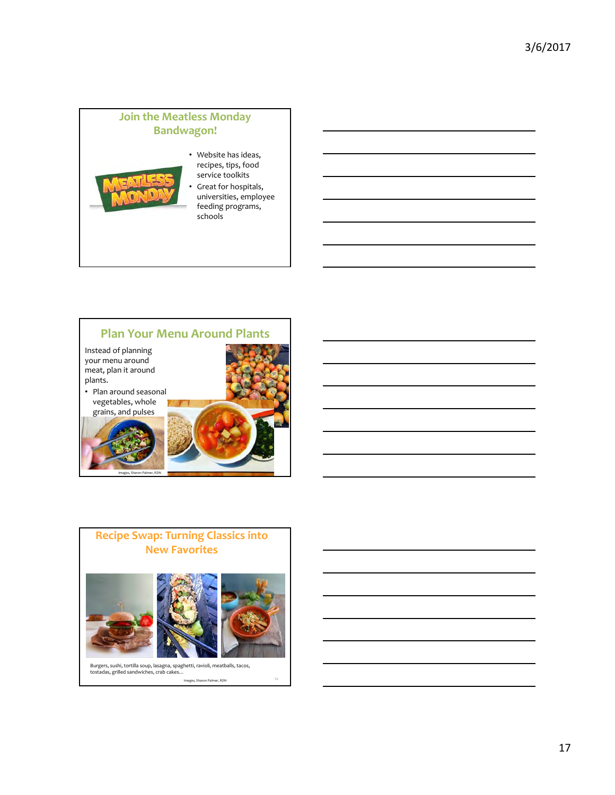# **Join the Meatless Monday Bandwagon!**



### • Website has ideas, recipes, tips, food service toolkits

Great for hospitals, universities, employee feeding programs, schools

# **Plan Your Menu Around Plants**

Instead of planning your menu around meat, plan it around plants.

• Plan around seasonal vegetables, whole





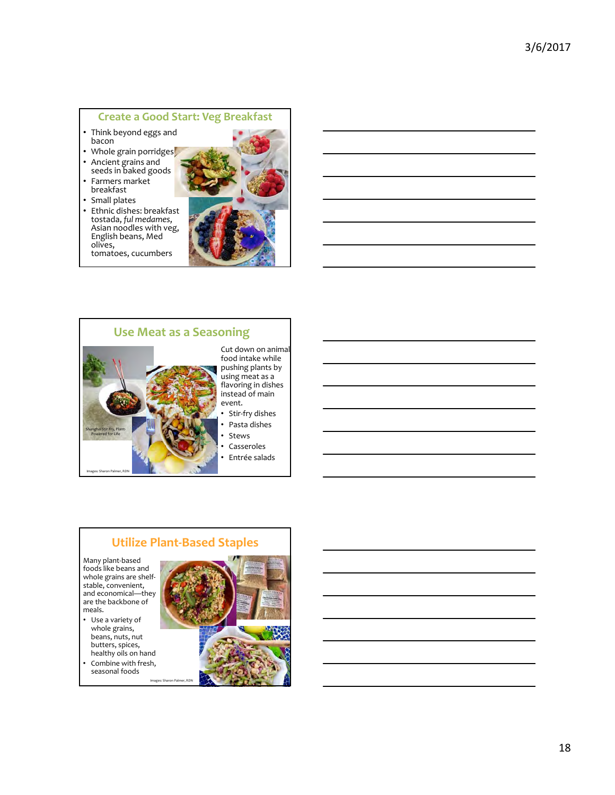### **Create a Good Start: Veg Breakfast**

- Think beyond eggs and bacon
- Whole grain porridges
- Ancient grains and seeds in baked goods
- Farmers market breakfast
- Small plates<br>• Ethnic disher
- Ethnic dishes: breakfast<br>tostada, ful medames, Asian noodles with veg, English beans, Med olives, tomatoes, cucumbers



### **Use Meat as a Seasoning**



Cut down on animal food intake while pushing plants by using meat as a flavoring in dishes instead of main event.

- Stir‐fry dishes
- Pasta dishes
- **Stews**
- Casseroles
- Entrée salads

# **Utilize Plant‐Based Staples**

ages: Sharon Pali

Many plant‐based foods like beans and whole grains are shelfstable, convenient, and economical—they are the backbone of meals.

- Use a variety of whole grains, beans, nuts, nut butters, spices, healthy oils on hand
- Combine with fresh, seasonal foods



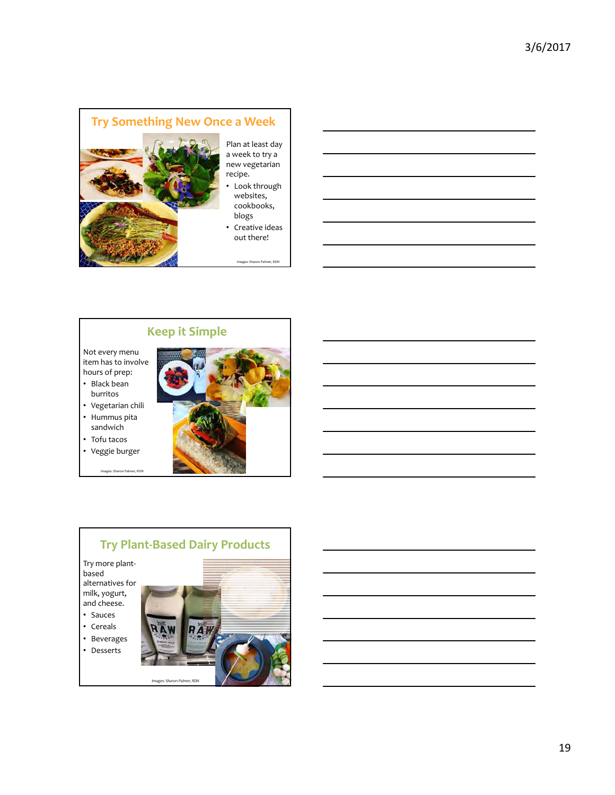

# **Keep it Simple**

Not every menu item has to involve hours of prep:

- Black bean burritos
- Vegetarian chili
- Hummus pita sandwich<sup>'</sup>
- Tofu tacos
- Veggie burger
- Images: Sharon Palmer, RDN



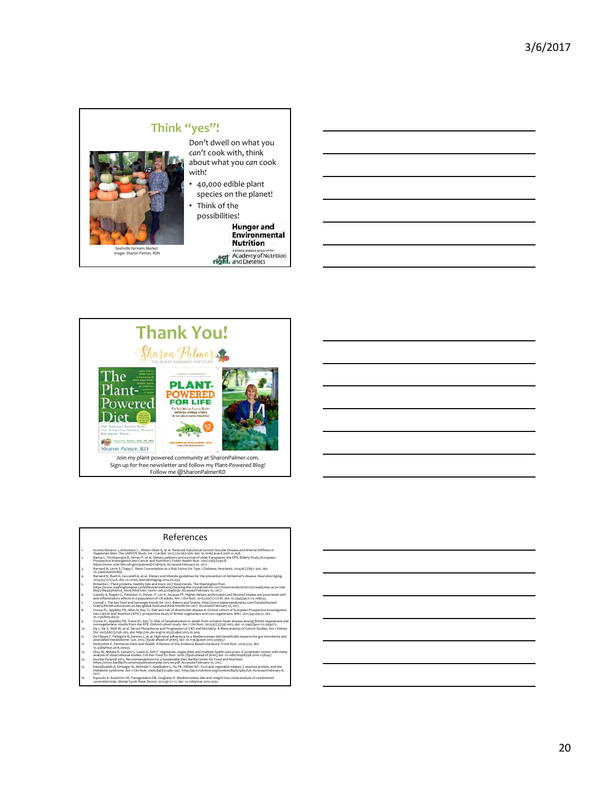# **Think "yes"!**



### Don't dwell on what you *can't* cook with, think about what you *can* cook with!

- 40,000 edible plant species on the planet!
- Think of the

possibilities!<br>**Hunger and Environmental**<br>**Nutrition** 

eath Academy of Nutrition



Join my plant‐powered community at SharonPalmer.com. Sign up for free newsletter and follow my Plant‐Powered Blog! Follow me @SharonPalmerRD

### References

| t.             | Acosta-Navarro J. Antoniazzi L. Midori Okiet A. et al. Reduced Subclinical Carotid Vascular Disease and Arterial Stiffness in<br>Vegetarian Men: The CARVOS Study, Int J Cardiol, 2017:230:562-566, doi: 10,1016/j.jicard.2016.12.058.                                                                          |
|----------------|-----------------------------------------------------------------------------------------------------------------------------------------------------------------------------------------------------------------------------------------------------------------------------------------------------------------|
| $\overline{2}$ | Bamia C, Trichopoulos D, Ferrari P, et al. Dietary patterns and survival of older Europeans: the EPIC-Elderly Study (European<br>Prospective Investigation into Cancer and Nutrition). Public Health Nutr. 2007:10(6):590-8.<br>https://www.ncbi.nim.nih.gov/pubmed/17381929. Accessed February 10, 2017.       |
| ٦.             | Barnard N. Levin S. Trapp C. Meat Consumption as a Risk Factor for Type 2 Diabetes. Nutrients, 2014;6(2):897-910, doi:<br>10.3390/nu6020897.                                                                                                                                                                    |
| 4.             | Barnard N, Bush A, Ceccarelli A, et al. Dietary and lifestyle guidelines for the prevention of Alzheimer's disease. Neurobiol Aging.<br>2014:35(2):S74-8, doi: 10.1016/j.neurobiolaging.2014.03.033.                                                                                                            |
| 5.             | Brissette C. Plant proteins, healthy fats and more 2017 food trends. The Washington Post,<br>https://www.washingtonpost.com/lifestyle/wellness/checking-the-crystal-ball-for-2017-food-trends/2016/12/07/ead326ac-ac2a-11e6-<br>8b45-f8e493fo6fcd Story.html?utm_term=.odc42cba6b5b.Accessed February 10, 2017. |
| 6.             | Cassidy A. Rogers G. Peterson JJ. Dwyer JT. Lin H. Jacques PF. Higher dietary anthocyanin and flavonol intakes are associated with<br>anti-inflammatory effects in a population of US adults. Am J Clin Nutr, 2015;102(1):172-81, doi: 10,3945/aicn,115,108555,                                                 |
| 7.             | Cornall J. The key food and beverage trends for 2017, Bakery and Snacks, http://www.bakeryandsnacks.com/Trends/Ancient-<br>Grains/Mintel-announces-six-key-global-food-and-drink-trends-for-2017. Accessed February 10, 2017.                                                                                   |
| 8.             | Crowe FL, Appleby PN, Allen N, Key TJ, Diet and risk of diverticular disease in Oxford cohort of European Prospective Investigation<br>into Cancer and Nutrition (EPIC): prospective study of British yegetarians and non-vegetarians. BMJ, 2011:343:d4131, doi:<br>10.1136/bmj.d4131.                          |
| ۹.             | Crowe FL, Appleby PN, Travis RC, Key TJ, Risk of hospitalization or death from ischemic heart disease among British vegetarians and<br>nonvegetarians: results from the EPIC-Oxford cohort study. Am J Clin Nutr. 2013;97(3):597-603. doi: 10.3945/ajcn.112.044073.                                             |
| 10.            | Da J. Xie X. Wolf M. et al. Serum Phosphorus and Progression of CKD and Mortality: A Meta-analysis of Cohort Studies. Am J Kidney<br>Dis. 2015:66(2):258-265. doi: http://dx.doi.org/10.1053/i.aikd.2015.01.009.                                                                                                |
| 11.            | De Filippis F, Pellegrini N, Vannini L, et al. High-level adherence to a Mediterranean diet beneficially impacts the gut microbiota and<br>associated metabolome. Gut. 2015: [Epub ahead of print]. doi: 10.1136/gutinl-2015-309957.                                                                            |
| 12.            | Derbyshire E. Flexitarian Diets and Health: A Review of the Evidence-Based Literature, Front Nutr, 2016;3:55, doi:<br>10.3389/fnut.2016.00055.                                                                                                                                                                  |
| 13.            | Dinu M. Abbate R. Gensini G. Casini A. Sofi F. Vegetarian, vegan diets and multiple health outcomes: A systematic review with meta-<br>analysis of observational studies. Crit Rev Food Sci Nutr. 2016: [Epub ahead of print] doi: 10.1080/10408398.2016.1138447.                                               |
| 14.            | Double Pyramid 2015; Recommendations for a Sustainable Diet, Barilla Center for Food and Nutrition.<br>https://www.barillacfn.com/m/publications/dp-2015-en.pdf. Accessed February 10, 2017.                                                                                                                    |
| 15.            | Esmaillzadeh A. Kimiagar M. Mehrabi Y. Azadbakht L. Hu FB. Willett WC. Fruit and vegetable intakes. C-reactive protein, and the<br>metabolic syndrome. Am J Clin Nutr, 2006;84(6):1489-1497, http://aicn.nutrition.org/content/84/6/1489.full. Accessed February 8.<br>2017.                                    |

16. Esposito K, Kastorini CM, Panagiotakos DB, Giugliano D. Mediterranean diet and weight loss: meta‐analysis of randomized controlled trials. Metab Syndr Relat Disord. 2011;9(1):1‐12. doi: 10.1089/met.2010.0031.